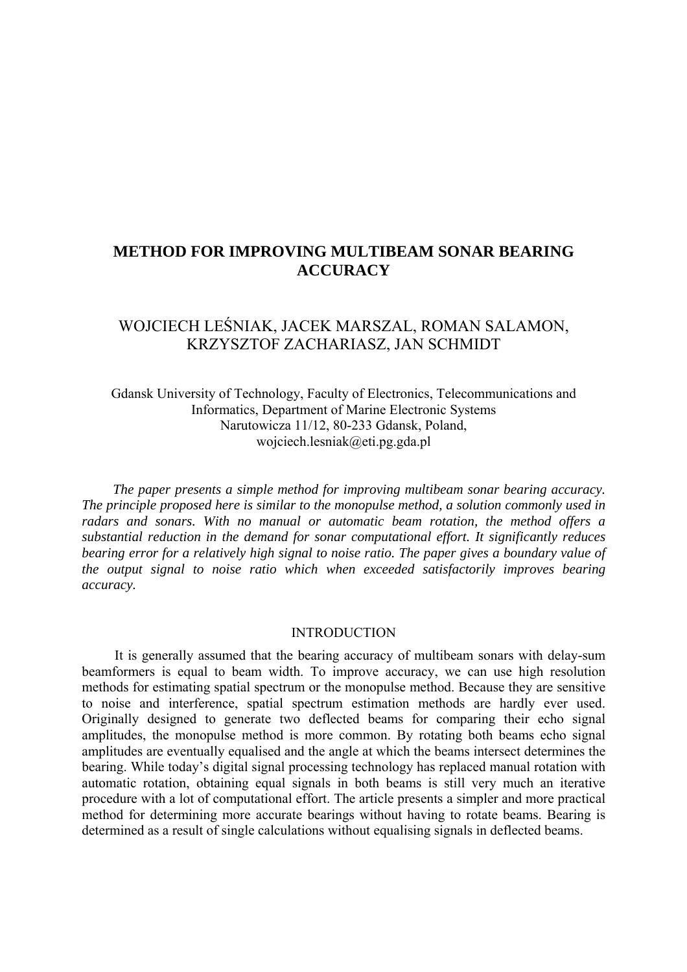# **METHOD FOR IMPROVING MULTIBEAM SONAR BEARING ACCURACY**

# WOJCIECH LEŚNIAK, JACEK MARSZAL, ROMAN SALAMON, KRZYSZTOF ZACHARIASZ, JAN SCHMIDT

Gdansk University of Technology, Faculty of Electronics, Telecommunications and Informatics, Department of Marine Electronic Systems Narutowicza 11/12, 80-233 Gdansk, Poland, wojciech.lesniak@eti.pg.gda.pl

 *The paper presents a simple method for improving multibeam sonar bearing accuracy. The principle proposed here is similar to the monopulse method, a solution commonly used in radars and sonars. With no manual or automatic beam rotation, the method offers a substantial reduction in the demand for sonar computational effort. It significantly reduces bearing error for a relatively high signal to noise ratio. The paper gives a boundary value of the output signal to noise ratio which when exceeded satisfactorily improves bearing accuracy.* 

#### INTRODUCTION

It is generally assumed that the bearing accuracy of multibeam sonars with delay-sum beamformers is equal to beam width. To improve accuracy, we can use high resolution methods for estimating spatial spectrum or the monopulse method. Because they are sensitive to noise and interference, spatial spectrum estimation methods are hardly ever used. Originally designed to generate two deflected beams for comparing their echo signal amplitudes, the monopulse method is more common. By rotating both beams echo signal amplitudes are eventually equalised and the angle at which the beams intersect determines the bearing. While today's digital signal processing technology has replaced manual rotation with automatic rotation, obtaining equal signals in both beams is still very much an iterative procedure with a lot of computational effort. The article presents a simpler and more practical method for determining more accurate bearings without having to rotate beams. Bearing is determined as a result of single calculations without equalising signals in deflected beams.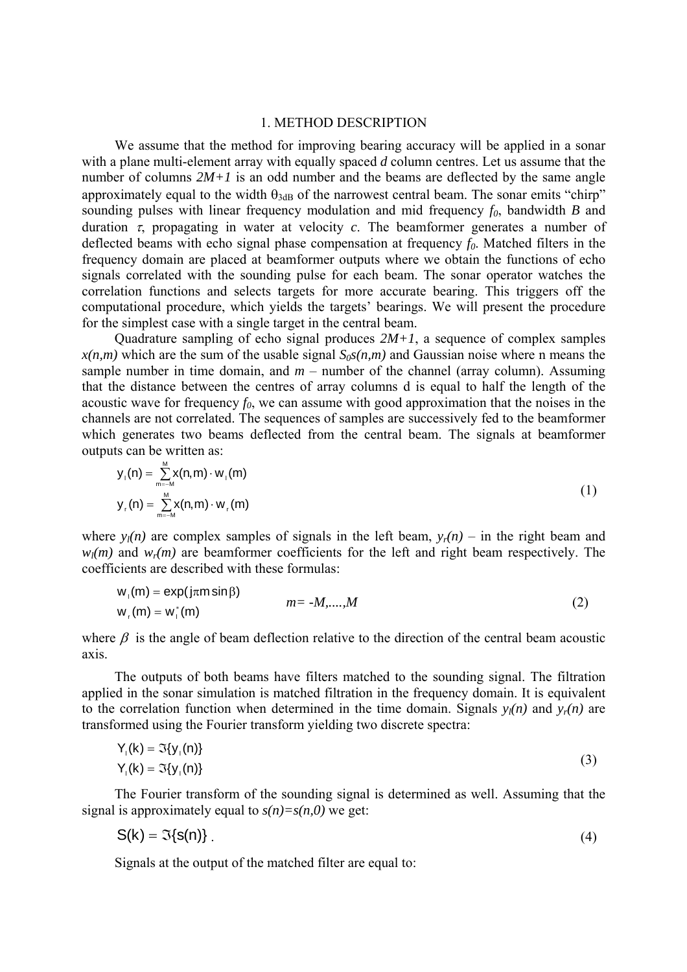#### 1. METHOD DESCRIPTION

We assume that the method for improving bearing accuracy will be applied in a sonar with a plane multi-element array with equally spaced *d* column centres. Let us assume that the number of columns  $2M+1$  is an odd number and the beams are deflected by the same angle approximately equal to the width  $\theta_{3dB}$  of the narrowest central beam. The sonar emits "chirp" sounding pulses with linear frequency modulation and mid frequency  $f_0$ , bandwidth *B* and duration  $\tau$ , propagating in water at velocity  $c$ . The beamformer generates a number of deflected beams with echo signal phase compensation at frequency  $f_0$ . Matched filters in the frequency domain are placed at beamformer outputs where we obtain the functions of echo signals correlated with the sounding pulse for each beam. The sonar operator watches the correlation functions and selects targets for more accurate bearing. This triggers off the computational procedure, which yields the targets' bearings. We will present the procedure for the simplest case with a single target in the central beam.

Quadrature sampling of echo signal produces  $2M+1$ , a sequence of complex samples  $x(n,m)$  which are the sum of the usable signal  $S_0s(n,m)$  and Gaussian noise where n means the sample number in time domain, and  $m$  – number of the channel (array column). Assuming that the distance between the centres of array columns d is equal to half the length of the acoustic wave for frequency  $f_0$ , we can assume with good approximation that the noises in the channels are not correlated. The sequences of samples are successively fed to the beamformer which generates two beams deflected from the central beam. The signals at beamformer outputs can be written as:

$$
y_{1}(n) = \sum_{m=M}^{M} x(n,m) \cdot w_{1}(m)
$$
  
\n
$$
y_{r}(n) = \sum_{m=M}^{M} x(n,m) \cdot w_{r}(m)
$$
\n(1)

where  $y_l(n)$  are complex samples of signals in the left beam,  $y_r(n)$  – in the right beam and  $w_l(m)$  and  $w_r(m)$  are beamformer coefficients for the left and right beam respectively. The coefficients are described with these formulas:

$$
w_1(m) = \exp(j\pi m \sin \beta)
$$
  
\n
$$
w_r(m) = w_1^*(m)
$$
  
\n
$$
m = -M, \dots, M
$$
\n(2)

where  $\beta$  is the angle of beam deflection relative to the direction of the central beam acoustic axis.

The outputs of both beams have filters matched to the sounding signal. The filtration applied in the sonar simulation is matched filtration in the frequency domain. It is equivalent to the correlation function when determined in the time domain. Signals  $y_l(n)$  and  $y_r(n)$  are transformed using the Fourier transform yielding two discrete spectra:

$$
Y_1(k) = \Im\{y_1(n)\}\
$$
  
\n
$$
Y_1(k) = \Im\{y_1(n)\}\
$$
  
\n(3)

The Fourier transform of the sounding signal is determined as well. Assuming that the signal is approximately equal to  $s(n)=s(n,0)$  we get:

$$
S(k) = \Im\{s(n)\}\tag{4}
$$

Signals at the output of the matched filter are equal to: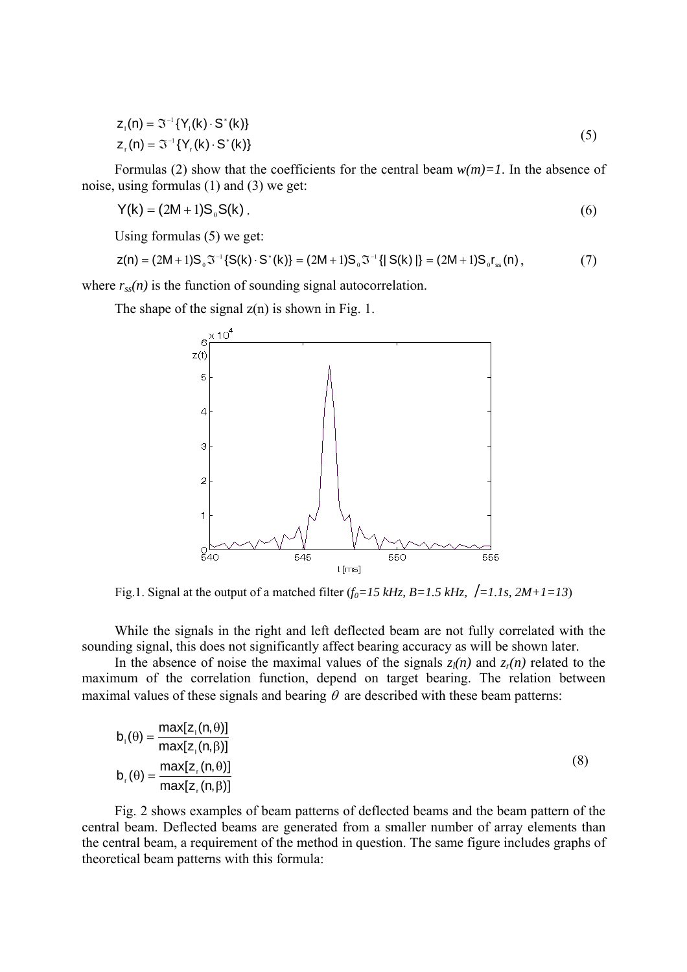$$
z_{1}(n) = \mathfrak{I}^{-1}\{Y_{1}(k) \cdot S^{*}(k)\}
$$
  
\n
$$
z_{1}(n) = \mathfrak{I}^{-1}\{Y_{1}(k) \cdot S^{*}(k)\}
$$
\n(5)

Formulas (2) show that the coefficients for the central beam  $w(m)=1$ . In the absence of noise, using formulas (1) and (3) we get:

$$
Y(k) = (2M+1)S_0S(k)
$$
 (6)

Using formulas (5) we get:

$$
z(n) = (2M+1)S_0 \mathfrak{I}^{-1} \{ S(k) \cdot S^*(k) \} = (2M+1)S_0 \mathfrak{I}^{-1} \{ | S(k) | \} = (2M+1)S_0 r_{ss}(n), \tag{7}
$$

where  $r<sub>ss</sub>(n)$  is the function of sounding signal autocorrelation.

The shape of the signal  $z(n)$  is shown in Fig. 1.



Fig.1. Signal at the output of a matched filter  $(f_0=15 \text{ kHz}, B=1.5 \text{ kHz}, {\frac{1}{21} \cdot 1 \cdot 15}, 2M+1=13)$ 

While the signals in the right and left deflected beam are not fully correlated with the sounding signal, this does not significantly affect bearing accuracy as will be shown later.

In the absence of noise the maximal values of the signals  $z_l(n)$  and  $z_r(n)$  related to the maximum of the correlation function, depend on target bearing. The relation between maximal values of these signals and bearing  $\theta$  are described with these beam patterns:

$$
b_{1}(\theta) = \frac{\max[z_{1}(n,\theta)]}{\max[z_{1}(n,\beta)]}
$$
  
\n
$$
b_{1}(\theta) = \frac{\max[z_{1}(n,\theta)]}{\max[z_{1}(n,\beta)]}
$$
\n(8)

Fig. 2 shows examples of beam patterns of deflected beams and the beam pattern of the central beam. Deflected beams are generated from a smaller number of array elements than the central beam, a requirement of the method in question. The same figure includes graphs of theoretical beam patterns with this formula: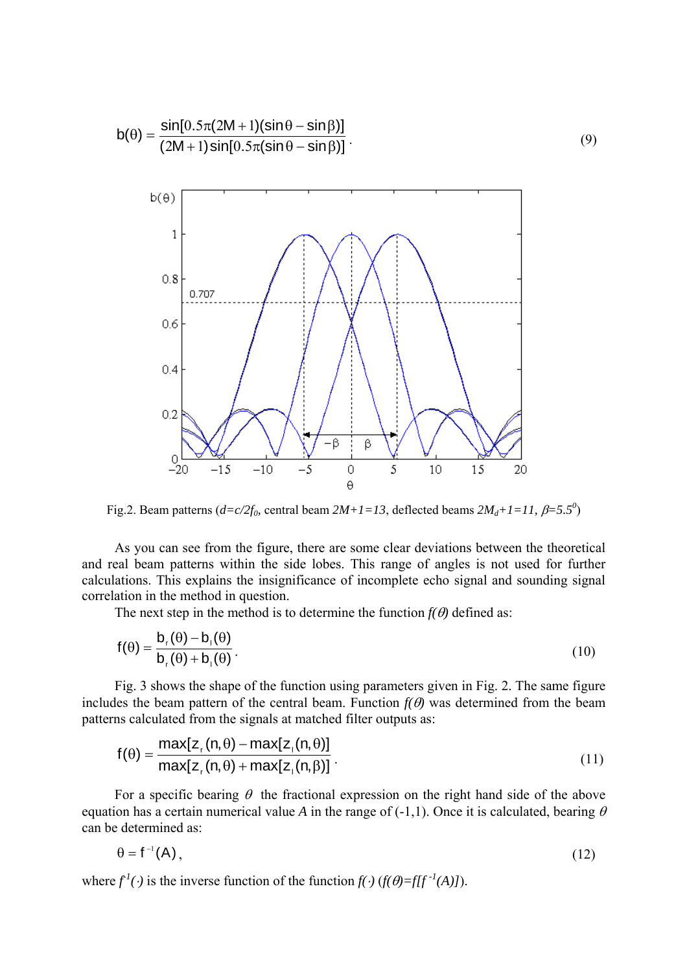

Fig.2. Beam patterns  $(d=c/2f_0,$  central beam  $2M+1=13$ , deflected beams  $2M_d+1=11$ ,  $\beta=5.5^0$ )

As you can see from the figure, there are some clear deviations between the theoretical and real beam patterns within the side lobes. This range of angles is not used for further calculations. This explains the insignificance of incomplete echo signal and sounding signal correlation in the method in question.

The next step in the method is to determine the function  $f(\theta)$  defined as:

$$
f(\theta) = \frac{b_r(\theta) - b_l(\theta)}{b_r(\theta) + b_l(\theta)}.
$$
\n(10)

Fig. 3 shows the shape of the function using parameters given in Fig. 2. The same figure includes the beam pattern of the central beam. Function  $f(\theta)$  was determined from the beam patterns calculated from the signals at matched filter outputs as:

$$
f(\theta) = \frac{\max[z_r(n, \theta) - \max[z_r(n, \theta)]}{\max[z_r(n, \theta) + \max[z_r(n, \beta)]}.
$$
\n(11)

For a specific bearing  $\theta$  the fractional expression on the right hand side of the above equation has a certain numerical value *A* in the range of  $(-1,1)$ . Once it is calculated, bearing  $\theta$ can be determined as:

$$
\theta = f^{-1}(A), \tag{12}
$$

where  $f'(\cdot)$  is the inverse function of the function  $f(\cdot)$  ( $f(\theta) = f[f^{-1}(A)]$ ).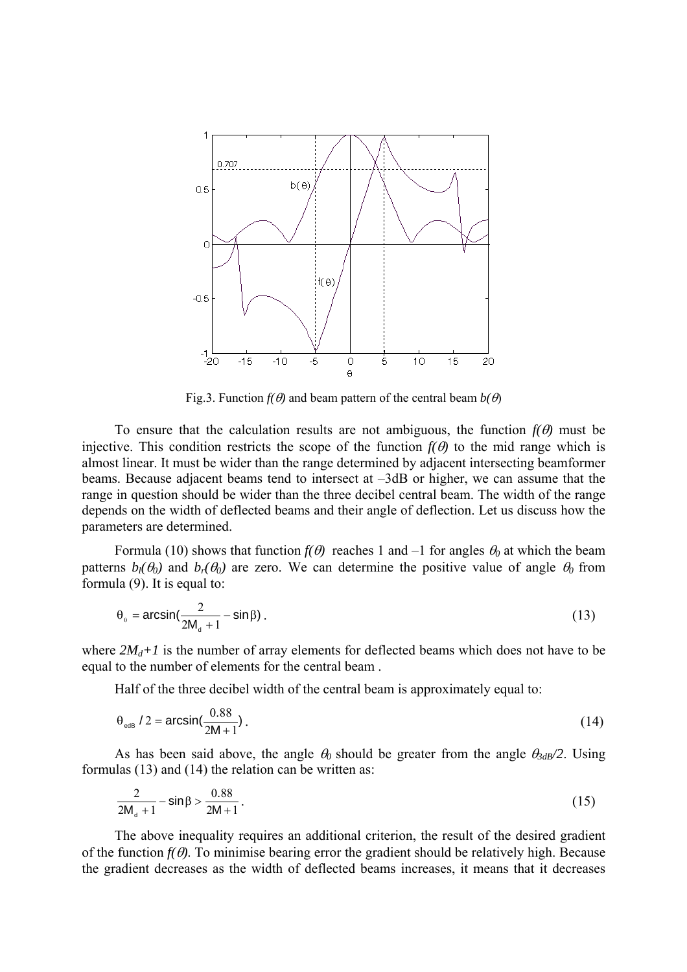

Fig.3. Function  $f(\theta)$  and beam pattern of the central beam  $b(\theta)$ 

To ensure that the calculation results are not ambiguous, the function  $f(\theta)$  must be injective. This condition restricts the scope of the function  $f(\theta)$  to the mid range which is almost linear. It must be wider than the range determined by adjacent intersecting beamformer beams. Because adjacent beams tend to intersect at –3dB or higher, we can assume that the range in question should be wider than the three decibel central beam. The width of the range depends on the width of deflected beams and their angle of deflection. Let us discuss how the parameters are determined.

Formula (10) shows that function  $f(\theta)$  reaches 1 and -1 for angles  $\theta_0$  at which the beam patterns  $b_l(\theta_0)$  and  $b_r(\theta_0)$  are zero. We can determine the positive value of angle  $\theta_0$  from formula (9). It is equal to:

$$
\theta_0 = \arcsin\left(\frac{2}{2M_a + 1} - \sin\beta\right). \tag{13}
$$

where  $2M_d+1$  is the number of array elements for deflected beams which does not have to be equal to the number of elements for the central beam .

Half of the three decibel width of the central beam is approximately equal to:

$$
\theta_{\text{edB}} / 2 = \arcsin\left(\frac{0.88}{2M + 1}\right). \tag{14}
$$

As has been said above, the angle  $\theta_0$  should be greater from the angle  $\theta_{3dB}/2$ . Using formulas (13) and (14) the relation can be written as:

$$
\frac{2}{2M_{d}+1} - \sin\beta > \frac{0.88}{2M+1} \,. \tag{15}
$$

The above inequality requires an additional criterion, the result of the desired gradient of the function  $f(\theta)$ . To minimise bearing error the gradient should be relatively high. Because the gradient decreases as the width of deflected beams increases, it means that it decreases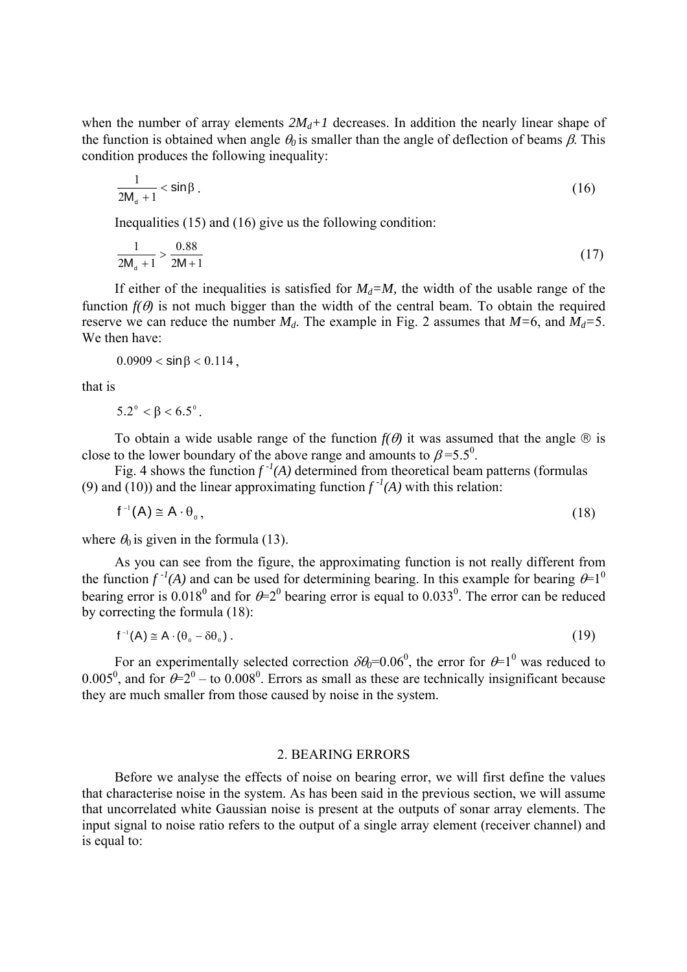when the number of array elements  $2M_d+1$  decreases. In addition the nearly linear shape of the function is obtained when angle  $\theta_0$  is smaller than the angle of deflection of beams  $\beta$ . This condition produces the following inequality:

$$
\frac{1}{2M_{d}+1} < \sin\beta
$$
 (16)

Inequalities (15) and (16) give us the following condition:

$$
\frac{1}{2M_{d}+1} > \frac{0.88}{2M+1}
$$
 (17)

If either of the inequalities is satisfied for  $M_d = M$ , the width of the usable range of the function  $f(\theta)$  is not much bigger than the width of the central beam. To obtain the required reserve we can reduce the number  $M_d$ . The example in Fig. 2 assumes that  $M=6$ , and  $M_d=5$ . We then have:

 $0.0909 < \sin \beta < 0.114$ .

that is

$$
5.2^{\circ} < \beta < 6.5^{\circ}.
$$

To obtain a wide usable range of the function  $f(\theta)$  it was assumed that the angle  $\otimes$  is close to the lower boundary of the above range and amounts to  $\beta$ =5.5<sup>0</sup>.

Fig. 4 shows the function  $f^{-1}(A)$  determined from theoretical beam patterns (formulas (9) and (10)) and the linear approximating function  $f^{-1}(A)$  with this relation:

$$
f^{-1}(A) \cong A \cdot \theta_{0}, \qquad (18)
$$

where  $\theta_0$  is given in the formula (13).

As you can see from the figure, the approximating function is not really different from the function  $f^{-1}(A)$  and can be used for determining bearing. In this example for bearing  $\theta=1^0$ bearing error is 0.018<sup>0</sup> and for  $\theta = 2^0$  bearing error is equal to 0.033<sup>0</sup>. The error can be reduced by correcting the formula (18):

$$
f^{-1}(A) \cong A \cdot (\theta_0 - \delta \theta_0) \tag{19}
$$

For an experimentally selected correction  $\delta \theta_0 = 0.06^0$ , the error for  $\theta = 1^0$  was reduced to 0.005<sup>0</sup>, and for  $\theta = 2^0 -$  to 0.008<sup>0</sup>. Errors as small as these are technically insignificant because they are much smaller from those caused by noise in the system.

### 2. BEARING ERRORS

Before we analyse the effects of noise on bearing error, we will first define the values that characterise noise in the system. As has been said in the previous section, we will assume that uncorrelated white Gaussian noise is present at the outputs of sonar array elements. The input signal to noise ratio refers to the output of a single array element (receiver channel) and is equal to: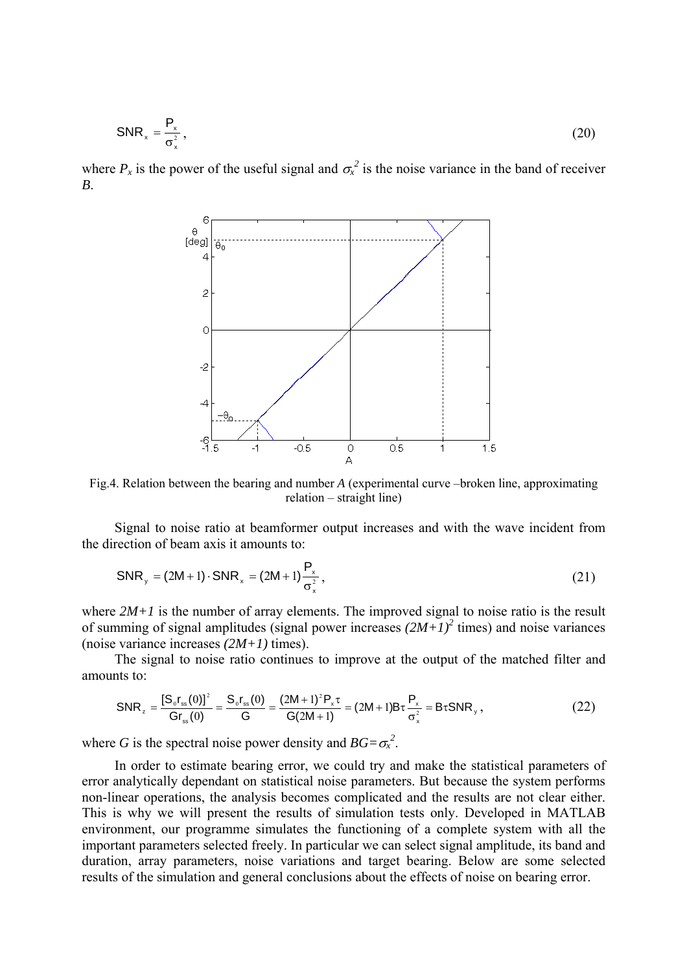$$
SNR_x = \frac{P_x}{\sigma_x^2},\tag{20}
$$

where  $P_x$  is the power of the useful signal and  $\sigma_x^2$  is the noise variance in the band of receiver *B*.



Fig.4. Relation between the bearing and number *A* (experimental curve –broken line, approximating relation – straight line)

Signal to noise ratio at beamformer output increases and with the wave incident from the direction of beam axis it amounts to:

$$
SNR_{y} = (2M + 1) \cdot SNR_{x} = (2M + 1) \frac{P_{x}}{\sigma_{x}^{2}},
$$
\n(21)

where  $2M+1$  is the number of array elements. The improved signal to noise ratio is the result of summing of signal amplitudes (signal power increases  $(2M+I)^2$  times) and noise variances (noise variance increases *(2M+1)* times).

The signal to noise ratio continues to improve at the output of the matched filter and amounts to:

$$
SNR_z = \frac{[S_0 r_{ss}(0)]^2}{Gr_{ss}(0)} = \frac{S_0 r_{ss}(0)}{G} = \frac{(2M+1)^2 P_x \tau}{G(2M+1)} = (2M+1)B\tau \frac{P_x}{\sigma_x^2} = B\tau SNR_y,
$$
\n(22)

where *G* is the spectral noise power density and  $BG = \sigma_x^2$ .

In order to estimate bearing error, we could try and make the statistical parameters of error analytically dependant on statistical noise parameters. But because the system performs non-linear operations, the analysis becomes complicated and the results are not clear either. This is why we will present the results of simulation tests only. Developed in MATLAB environment, our programme simulates the functioning of a complete system with all the important parameters selected freely. In particular we can select signal amplitude, its band and duration, array parameters, noise variations and target bearing. Below are some selected results of the simulation and general conclusions about the effects of noise on bearing error.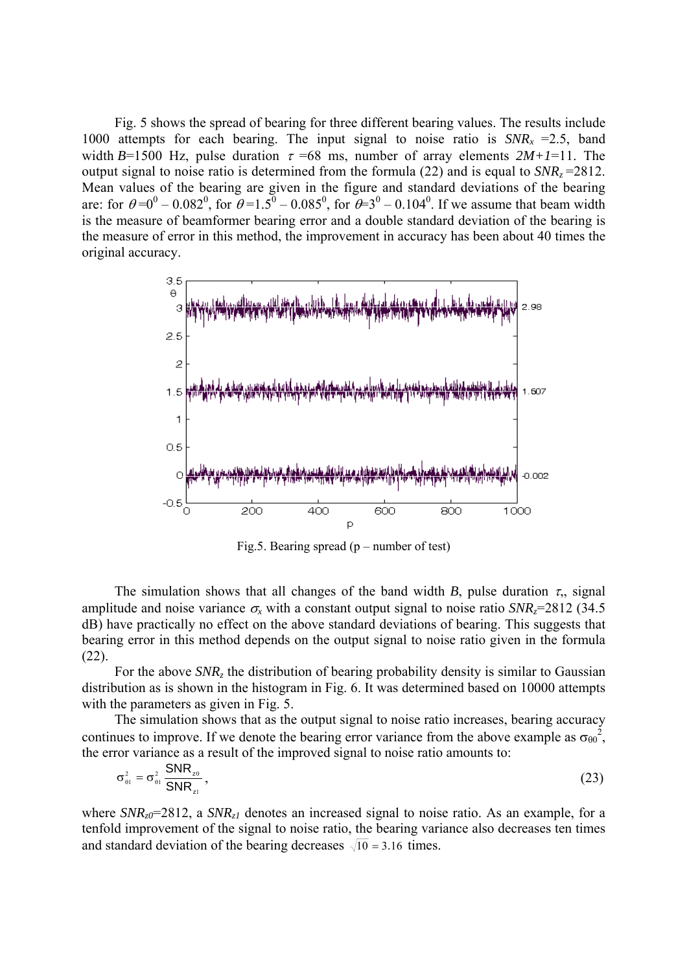Fig. 5 shows the spread of bearing for three different bearing values. The results include 1000 attempts for each bearing. The input signal to noise ratio is  $SNR<sub>x</sub> = 2.5$ , band width  $B=1500$  Hz, pulse duration  $\tau = 68$  ms, number of array elements  $2M+1=11$ . The output signal to noise ratio is determined from the formula  $(22)$  and is equal to  $SNR<sub>z</sub> = 2812$ . Mean values of the bearing are given in the figure and standard deviations of the bearing are: for  $\theta = 0^0 - 0.082^0$ , for  $\theta = 1.5^0 - 0.085^0$ , for  $\theta = 3^0 - 0.104^0$ . If we assume that beam width is the measure of beamformer bearing error and a double standard deviation of the bearing is the measure of error in this method, the improvement in accuracy has been about 40 times the original accuracy.



Fig.5. Bearing spread  $(p - number of test)$ 

The simulation shows that all changes of the band width *B*, pulse duration  $\tau$ , signal amplitude and noise variance  $\sigma$ <sub>x</sub> with a constant output signal to noise ratio *SNR<sub>z</sub>*=2812 (34.5) dB) have practically no effect on the above standard deviations of bearing. This suggests that bearing error in this method depends on the output signal to noise ratio given in the formula (22).

For the above *SNR<sub>z</sub>* the distribution of bearing probability density is similar to Gaussian distribution as is shown in the histogram in Fig. 6. It was determined based on 10000 attempts with the parameters as given in Fig. 5.

The simulation shows that as the output signal to noise ratio increases, bearing accuracy continues to improve. If we denote the bearing error variance from the above example as  $\sigma_{\theta0}^2$ , the error variance as a result of the improved signal to noise ratio amounts to:

$$
\sigma_{\theta 1}^2 = \sigma_{\theta 1}^2 \frac{\mathsf{SNR}_{z0}}{\mathsf{SNR}_{z1}},\tag{23}
$$

where  $SNR_{z0}$ =2812, a  $SNR_{z1}$  denotes an increased signal to noise ratio. As an example, for a tenfold improvement of the signal to noise ratio, the bearing variance also decreases ten times and standard deviation of the bearing decreases  $\sqrt{10}$  = 3.16 times.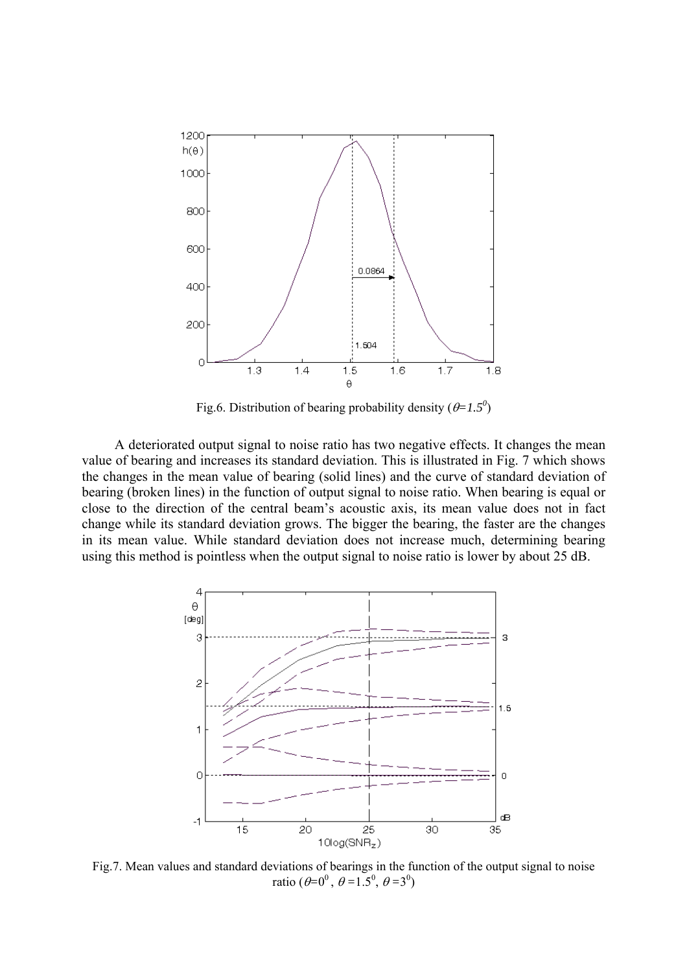

Fig.6. Distribution of bearing probability density  $(\theta = 1.5^{\circ})$ 

A deteriorated output signal to noise ratio has two negative effects. It changes the mean value of bearing and increases its standard deviation. This is illustrated in Fig. 7 which shows the changes in the mean value of bearing (solid lines) and the curve of standard deviation of bearing (broken lines) in the function of output signal to noise ratio. When bearing is equal or close to the direction of the central beam's acoustic axis, its mean value does not in fact change while its standard deviation grows. The bigger the bearing, the faster are the changes in its mean value. While standard deviation does not increase much, determining bearing using this method is pointless when the output signal to noise ratio is lower by about 25 dB.



Fig.7. Mean values and standard deviations of bearings in the function of the output signal to noise ratio  $(\theta = 0^0, \theta = 1.5^0, \theta = 3^0)$